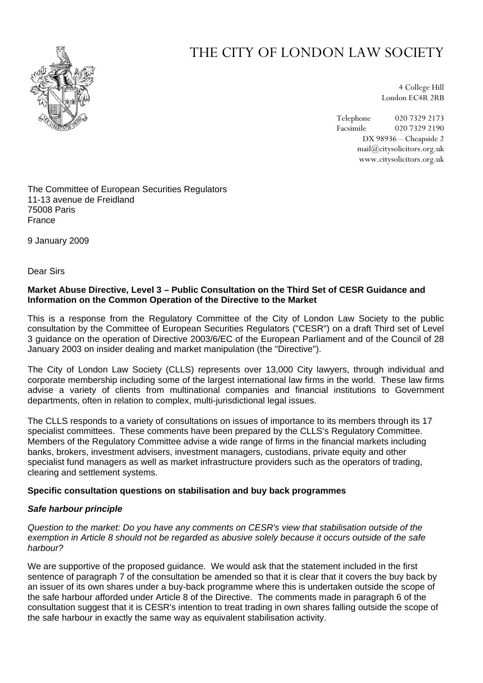

# THE CITY OF LONDON LAW SOCIETY

4 College Hill London EC4R 2RB

Telephone 020 7329 2173 Facsimile 020 7329 2190 DX 98936 – Cheapside 2 mail@citysolicitors.org.uk www.citysolicitors.org.uk

The Committee of European Securities Regulators 11-13 avenue de Freidland 75008 Paris France

9 January 2009

Dear Sirs

## **Market Abuse Directive, Level 3 – Public Consultation on the Third Set of CESR Guidance and Information on the Common Operation of the Directive to the Market**

This is a response from the Regulatory Committee of the City of London Law Society to the public consultation by the Committee of European Securities Regulators ("CESR") on a draft Third set of Level 3 guidance on the operation of Directive 2003/6/EC of the European Parliament and of the Council of 28 January 2003 on insider dealing and market manipulation (the "Directive").

The City of London Law Society (CLLS) represents over 13,000 City lawyers, through individual and corporate membership including some of the largest international law firms in the world. These law firms advise a variety of clients from multinational companies and financial institutions to Government departments, often in relation to complex, multi-jurisdictional legal issues.

The CLLS responds to a variety of consultations on issues of importance to its members through its 17 specialist committees. These comments have been prepared by the CLLS's Regulatory Committee. Members of the Regulatory Committee advise a wide range of firms in the financial markets including banks, brokers, investment advisers, investment managers, custodians, private equity and other specialist fund managers as well as market infrastructure providers such as the operators of trading, clearing and settlement systems.

## **Specific consultation questions on stabilisation and buy back programmes**

## *Safe harbour principle*

*Question to the market: Do you have any comments on CESR's view that stabilisation outside of the exemption in Article 8 should not be regarded as abusive solely because it occurs outside of the safe harbour?* 

We are supportive of the proposed quidance. We would ask that the statement included in the first sentence of paragraph 7 of the consultation be amended so that it is clear that it covers the buy back by an issuer of its own shares under a buy-back programme where this is undertaken outside the scope of the safe harbour afforded under Article 8 of the Directive. The comments made in paragraph 6 of the consultation suggest that it is CESR's intention to treat trading in own shares falling outside the scope of the safe harbour in exactly the same way as equivalent stabilisation activity.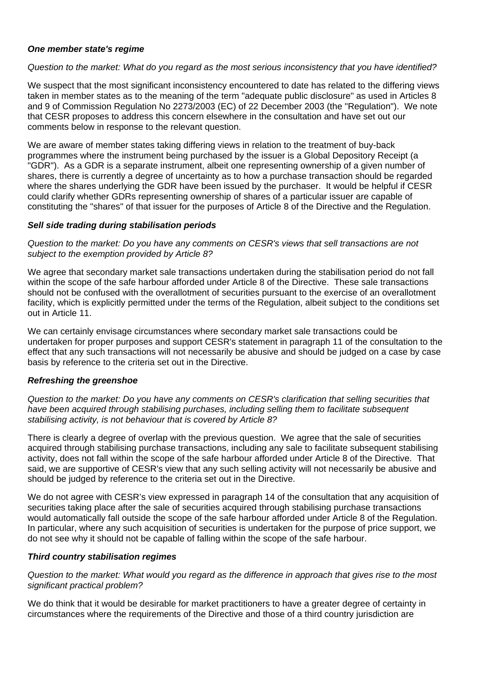## *One member state's regime*

#### *Question to the market: What do you regard as the most serious inconsistency that you have identified?*

We suspect that the most significant inconsistency encountered to date has related to the differing views taken in member states as to the meaning of the term "adequate public disclosure" as used in Articles 8 and 9 of Commission Regulation No 2273/2003 (EC) of 22 December 2003 (the "Regulation"). We note that CESR proposes to address this concern elsewhere in the consultation and have set out our comments below in response to the relevant question.

We are aware of member states taking differing views in relation to the treatment of buy-back programmes where the instrument being purchased by the issuer is a Global Depository Receipt (a "GDR"). As a GDR is a separate instrument, albeit one representing ownership of a given number of shares, there is currently a degree of uncertainty as to how a purchase transaction should be regarded where the shares underlying the GDR have been issued by the purchaser. It would be helpful if CESR could clarify whether GDRs representing ownership of shares of a particular issuer are capable of constituting the "shares" of that issuer for the purposes of Article 8 of the Directive and the Regulation.

#### *Sell side trading during stabilisation periods*

*Question to the market: Do you have any comments on CESR's views that sell transactions are not subject to the exemption provided by Article 8?* 

We agree that secondary market sale transactions undertaken during the stabilisation period do not fall within the scope of the safe harbour afforded under Article 8 of the Directive. These sale transactions should not be confused with the overallotment of securities pursuant to the exercise of an overallotment facility, which is explicitly permitted under the terms of the Regulation, albeit subject to the conditions set out in Article 11.

We can certainly envisage circumstances where secondary market sale transactions could be undertaken for proper purposes and support CESR's statement in paragraph 11 of the consultation to the effect that any such transactions will not necessarily be abusive and should be judged on a case by case basis by reference to the criteria set out in the Directive.

#### *Refreshing the greenshoe*

*Question to the market: Do you have any comments on CESR's clarification that selling securities that have been acquired through stabilising purchases, including selling them to facilitate subsequent stabilising activity, is not behaviour that is covered by Article 8?* 

There is clearly a degree of overlap with the previous question. We agree that the sale of securities acquired through stabilising purchase transactions, including any sale to facilitate subsequent stabilising activity, does not fall within the scope of the safe harbour afforded under Article 8 of the Directive. That said, we are supportive of CESR's view that any such selling activity will not necessarily be abusive and should be judged by reference to the criteria set out in the Directive.

We do not agree with CESR's view expressed in paragraph 14 of the consultation that any acquisition of securities taking place after the sale of securities acquired through stabilising purchase transactions would automatically fall outside the scope of the safe harbour afforded under Article 8 of the Regulation. In particular, where any such acquisition of securities is undertaken for the purpose of price support, we do not see why it should not be capable of falling within the scope of the safe harbour.

## *Third country stabilisation regimes*

*Question to the market: What would you regard as the difference in approach that gives rise to the most significant practical problem?* 

We do think that it would be desirable for market practitioners to have a greater degree of certainty in circumstances where the requirements of the Directive and those of a third country jurisdiction are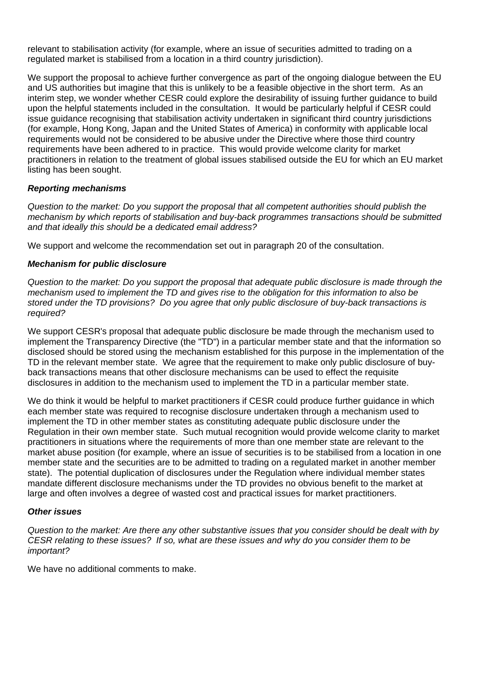relevant to stabilisation activity (for example, where an issue of securities admitted to trading on a regulated market is stabilised from a location in a third country jurisdiction).

We support the proposal to achieve further convergence as part of the ongoing dialogue between the EU and US authorities but imagine that this is unlikely to be a feasible objective in the short term. As an interim step, we wonder whether CESR could explore the desirability of issuing further guidance to build upon the helpful statements included in the consultation. It would be particularly helpful if CESR could issue guidance recognising that stabilisation activity undertaken in significant third country jurisdictions (for example, Hong Kong, Japan and the United States of America) in conformity with applicable local requirements would not be considered to be abusive under the Directive where those third country requirements have been adhered to in practice. This would provide welcome clarity for market practitioners in relation to the treatment of global issues stabilised outside the EU for which an EU market listing has been sought.

## *Reporting mechanisms*

*Question to the market: Do you support the proposal that all competent authorities should publish the mechanism by which reports of stabilisation and buy-back programmes transactions should be submitted and that ideally this should be a dedicated email address?* 

We support and welcome the recommendation set out in paragraph 20 of the consultation.

## *Mechanism for public disclosure*

*Question to the market: Do you support the proposal that adequate public disclosure is made through the mechanism used to implement the TD and gives rise to the obligation for this information to also be stored under the TD provisions? Do you agree that only public disclosure of buy-back transactions is required?* 

We support CESR's proposal that adequate public disclosure be made through the mechanism used to implement the Transparency Directive (the "TD") in a particular member state and that the information so disclosed should be stored using the mechanism established for this purpose in the implementation of the TD in the relevant member state. We agree that the requirement to make only public disclosure of buyback transactions means that other disclosure mechanisms can be used to effect the requisite disclosures in addition to the mechanism used to implement the TD in a particular member state.

We do think it would be helpful to market practitioners if CESR could produce further guidance in which each member state was required to recognise disclosure undertaken through a mechanism used to implement the TD in other member states as constituting adequate public disclosure under the Regulation in their own member state. Such mutual recognition would provide welcome clarity to market practitioners in situations where the requirements of more than one member state are relevant to the market abuse position (for example, where an issue of securities is to be stabilised from a location in one member state and the securities are to be admitted to trading on a regulated market in another member state). The potential duplication of disclosures under the Regulation where individual member states mandate different disclosure mechanisms under the TD provides no obvious benefit to the market at large and often involves a degree of wasted cost and practical issues for market practitioners.

#### *Other issues*

*Question to the market: Are there any other substantive issues that you consider should be dealt with by CESR relating to these issues? If so, what are these issues and why do you consider them to be important?* 

We have no additional comments to make.